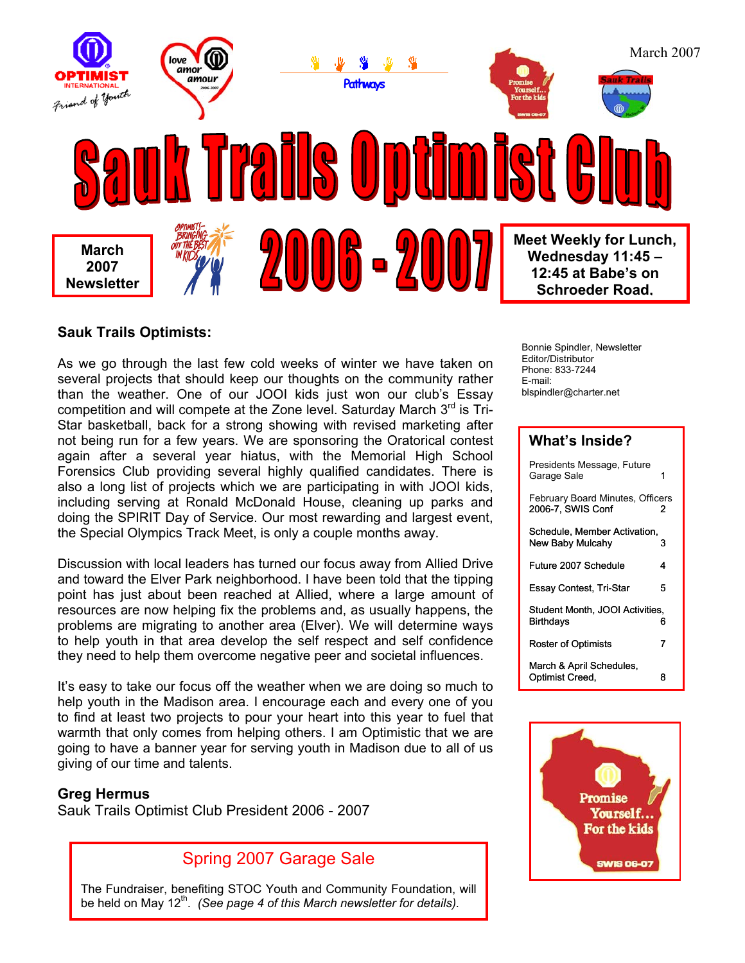

### **Sauk Trails Optimists:**

As we go through the last few cold weeks of winter we have taken on several projects that should keep our thoughts on the community rather than the weather. One of our JOOI kids just won our club's Essay competition and will compete at the Zone level. Saturday March 3<sup>rd</sup> is Tri-Star basketball, back for a strong showing with revised marketing after not being run for a few years. We are sponsoring the Oratorical contest again after a several year hiatus, with the Memorial High School Forensics Club providing several highly qualified candidates. There is also a long list of projects which we are participating in with JOOI kids, including serving at Ronald McDonald House, cleaning up parks and doing the SPIRIT Day of Service. Our most rewarding and largest event, the Special Olympics Track Meet, is only a couple months away.

Discussion with local leaders has turned our focus away from Allied Drive and toward the Elver Park neighborhood. I have been told that the tipping point has just about been reached at Allied, where a large amount of resources are now helping fix the problems and, as usually happens, the problems are migrating to another area (Elver). We will determine ways to help youth in that area develop the self respect and self confidence they need to help them overcome negative peer and societal influences.

It's easy to take our focus off the weather when we are doing so much to help youth in the Madison area. I encourage each and every one of you to find at least two projects to pour your heart into this year to fuel that warmth that only comes from helping others. I am Optimistic that we are going to have a banner year for serving youth in Madison due to all of us giving of our time and talents.

### **Greg Hermus**

Sauk Trails Optimist Club President 2006 - 2007



The Fundraiser, benefiting STOC Youth and Community Foundation, will be held on May 12<sup>th</sup>. *(See page 4 of this March newsletter for details)*.

Bonnie Spindler, Newsletter Editor/Distributor Phone: 833-7244 E-mail: blspindler@charter.net

### **What's Inside?**

| Presidents Message, Future<br>Garage Sale             |   |
|-------------------------------------------------------|---|
| February Board Minutes, Officers<br>2006-7, SWIS Conf | 2 |
| Schedule, Member Activation,<br>New Baby Mulcahy      | 3 |
| Future 2007 Schedule                                  | 4 |
| Essay Contest, Tri-Star                               | 5 |
| Student Month, JOOI Activities,<br>Birthdays          | 6 |
| Roster of Optimists                                   | 7 |
| March & April Schedules,<br>Optimist Creed,           | 8 |

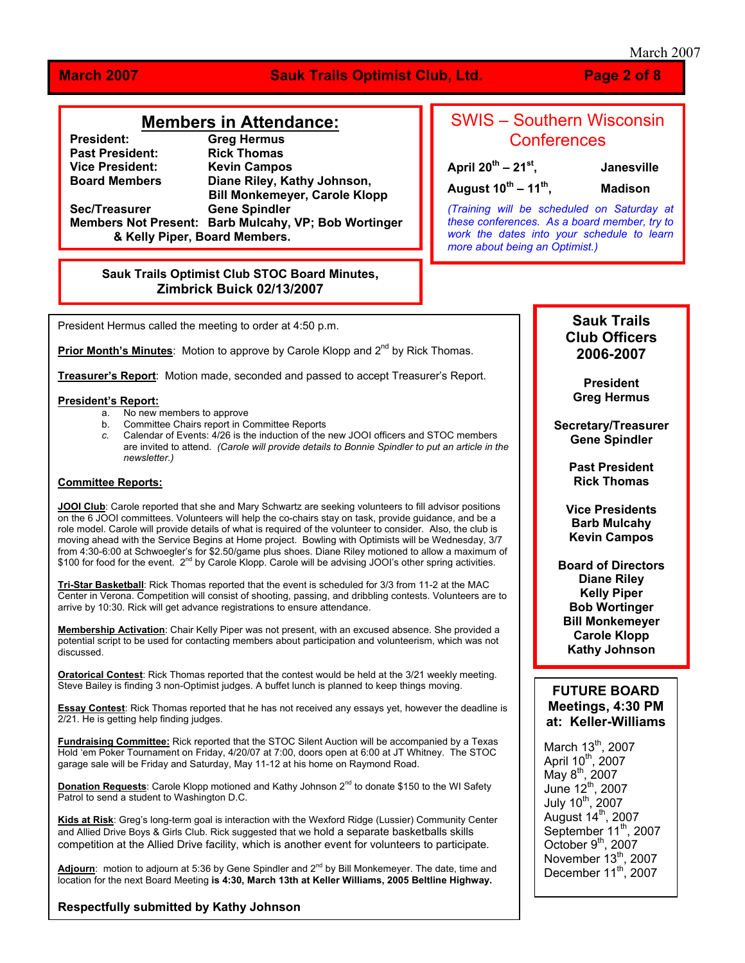March 2007

### **March 2007 Sauk Trails Optimist Club, Ltd. Page 2 of 8**

### **Members in Attendance:**

**President: Greg Hermus Past President: Rick Thomas Vice President: Kevin Campos Biane Riley, Kathy Johnson, Bill Monkemeyer, Carole Klopp Sec/Treasurer Gene Spindler Members Not Present: Barb Mulcahy, VP; Bob Wortinger & Kelly Piper, Board Members.** 

# SWIS – Southern Wisconsin **Conferences**

**April 20th – 21st, Janesville August 10th – 11th, Madison**

*(Training will be scheduled on Saturday at these conferences. As a board member, try to work the dates into your schedule to learn more about being an Optimist.)*

### **Sauk Trails Optimist Club STOC Board Minutes, Zimbrick Buick 02/13/2007**

President Hermus called the meeting to order at 4:50 p.m.

**Prior Month's Minutes**: Motion to approve by Carole Klopp and 2<sup>nd</sup> by Rick Thomas.

**Treasurer's Report**: Motion made, seconded and passed to accept Treasurer's Report.

### **President's Report:**

- a. No new members to approve
- b. Committee Chairs report in Committee Reports
- *c.* Calendar of Events: 4/26 is the induction of the new JOOI officers and STOC members are invited to attend*. (Carole will provide details to Bonnie Spindler to put an article in the newsletter.)*

### **Committee Reports:**

**JOOI Club**: Carole reported that she and Mary Schwartz are seeking volunteers to fill advisor positions on the 6 JOOI committees. Volunteers will help the co-chairs stay on task, provide guidance, and be a role model. Carole will provide details of what is required of the volunteer to consider. Also, the club is moving ahead with the Service Begins at Home project. Bowling with Optimists will be Wednesday, 3/7 from 4:30-6:00 at Schwoegler's for \$2.50/game plus shoes. Diane Riley motioned to allow a maximum of \$100 for food for the event. 2<sup>nd</sup> by Carole Klopp. Carole will be advising JOOI's other spring activities.

**Tri-Star Basketball**: Rick Thomas reported that the event is scheduled for 3/3 from 11-2 at the MAC Center in Verona. Competition will consist of shooting, passing, and dribbling contests. Volunteers are to arrive by 10:30. Rick will get advance registrations to ensure attendance.

**Membership Activation**: Chair Kelly Piper was not present, with an excused absence. She provided a potential script to be used for contacting members about participation and volunteerism, which was not discussed.

**Oratorical Contest**: Rick Thomas reported that the contest would be held at the 3/21 weekly meeting. Steve Bailey is finding 3 non-Optimist judges. A buffet lunch is planned to keep things moving.

**Essay Contest**: Rick Thomas reported that he has not received any essays yet, however the deadline is 2/21. He is getting help finding judges.

**Fundraising Committee:** Rick reported that the STOC Silent Auction will be accompanied by a Texas Hold 'em Poker Tournament on Friday, 4/20/07 at 7:00, doors open at 6:00 at JT Whitney. The STOC garage sale will be Friday and Saturday, May 11-12 at his home on Raymond Road.

**Donation Requests:** Carole Klopp motioned and Kathy Johnson 2<sup>nd</sup> to donate \$150 to the WI Safety Patrol to send a student to Washington D.C.

**Kids at Risk**: Greg's long-term goal is interaction with the Wexford Ridge (Lussier) Community Center and Allied Drive Boys & Girls Club. Rick suggested that we hold a separate basketballs skills competition at the Allied Drive facility, which is another event for volunteers to participate.

Adjourn: motion to adjourn at 5:36 by Gene Spindler and 2<sup>nd</sup> by Bill Monkemeyer. The date, time and location for the next Board Meeting **is 4:30, March 13th at Keller Williams, 2005 Beltline Highway.**

**Respectfully submitted by Kathy Johnson**

### **Sauk Trails Club Officers 2006-2007**

**President Greg Hermus**

**Secretary/Treasurer Gene Spindler** 

> **Past President Rick Thomas**

**Vice Presidents Barb Mulcahy Kevin Campos** 

**Board of Directors Diane Riley Kelly Piper Bob Wortinger Bill Monkemeyer Carole Klopp Kathy Johnson** 

### **FUTURE BOARD Meetings, 4:30 PM at: Keller-Williams**

March 13<sup>th</sup>, 2007 April  $10^{th}$ , 2007  $M$ ay 8<sup>th</sup>, 2007 June  $12^{th}$ , 2007 July 10<sup>th</sup>, 2007 August  $14<sup>th</sup>$ , 2007 September 11<sup>th</sup>, 2007 October  $9<sup>th</sup>$ , 2007 November  $13^{th}$ , 2007 December  $11^{th}$ , 2007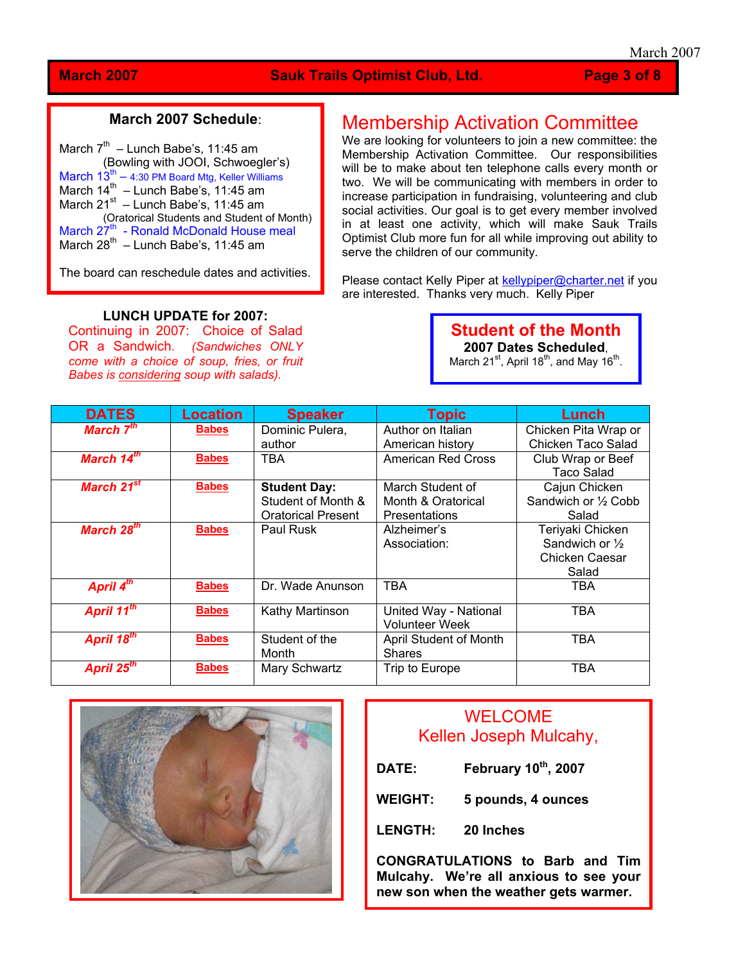### **March 2007** Sauk Trails Optimist Club, Ltd. Page 3 of 8

### **March 2007 Schedule**:

| March $7th$ – Lunch Babe's, 11:45 am                 |
|------------------------------------------------------|
| (Bowling with JOOI, Schwoegler's)                    |
| March $13^{th}$ - 4:30 PM Board Mtg, Keller Williams |
| March 14 <sup>th</sup> - Lunch Babe's, 11:45 am      |
| March $21^{st}$ – Lunch Babe's, 11:45 am             |
| (Oratorical Students and Student of Month)           |
| March 27 <sup>th</sup> - Ronald McDonald House meal  |
| March $28^{th}$ – Lunch Babe's, 11:45 am             |
|                                                      |

The board can reschedule dates and activities.

# Membership Activation Committee

We are looking for volunteers to join a new committee: the Membership Activation Committee. Our responsibilities will be to make about ten telephone calls every month or two. We will be communicating with members in order to increase participation in fundraising, volunteering and club social activities. Our goal is to get every member involved in at least one activity, which will make Sauk Trails Optimist Club more fun for all while improving out ability to serve the children of our community.

Please contact Kelly Piper at [kellypiper@charter.net](mailto:kellypiper@charter.net) if you are interested. Thanks very much. Kelly Piper

### **LUNCH UPDATE for 2007:**

Continuing in 2007: Choice of Salad OR a Sandwich. *(Sandwiches ONLY come with a choice of soup, fries, or fruit Babes is considering soup with salads).*

### **Student of the Month 2007 Dates Scheduled**,

March  $21^{st}$ , April  $18^{th}$ , and May  $16^{th}$ .

| <b>DATES</b>           | <b>Location</b> | <b>Speaker</b>                                                         | <b>Topic</b>                                            | Lunch                                                          |
|------------------------|-----------------|------------------------------------------------------------------------|---------------------------------------------------------|----------------------------------------------------------------|
| March 7 <sup>th</sup>  | <b>Babes</b>    | Dominic Pulera,<br>author                                              | Author on Italian<br>American history                   | Chicken Pita Wrap or<br>Chicken Taco Salad                     |
| March $14^{th}$        | <b>Babes</b>    | TBA                                                                    | American Red Cross                                      | Club Wrap or Beef<br>Taco Salad                                |
| March 21 <sup>st</sup> | <b>Babes</b>    | <b>Student Day:</b><br>Student of Month &<br><b>Oratorical Present</b> | March Student of<br>Month & Oratorical<br>Presentations | Cajun Chicken<br>Sandwich or 1/2 Cobb<br>Salad                 |
| March 28 <sup>th</sup> | <b>Babes</b>    | Paul Rusk                                                              | Alzheimer's<br>Association:                             | Teriyaki Chicken<br>Sandwich or 1/2<br>Chicken Caesar<br>Salad |
| April 4 <sup>th</sup>  | <b>Babes</b>    | Dr. Wade Anunson                                                       | <b>TBA</b>                                              | <b>TBA</b>                                                     |
| April 11 <sup>th</sup> | <b>Babes</b>    | Kathy Martinson                                                        | United Way - National<br><b>Volunteer Week</b>          | TBA                                                            |
| April 18th             | <b>Babes</b>    | Student of the<br>Month                                                | April Student of Month<br><b>Shares</b>                 | TBA                                                            |
| April 25 <sup>th</sup> | <b>Babes</b>    | Mary Schwartz                                                          | Trip to Europe                                          | TBA                                                            |



# **WELCOME** Kellen Joseph Mulcahy,

- **DATE: February 10th, 2007**
- **WEIGHT: 5 pounds, 4 ounces**
- **LENGTH: 20 Inches**
- **CONGRATULATIONS to Barb and Tim Mulcahy. We're all anxious to see your new son when the weather gets warmer.**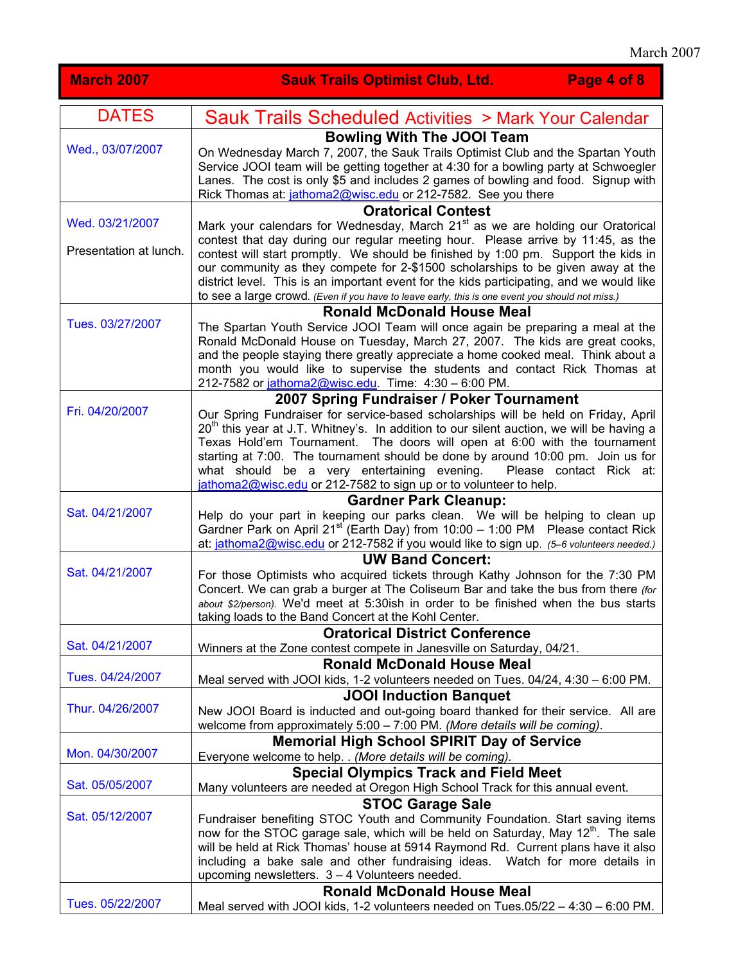| <b>March 2007</b>      | <b>Sauk Trails Optimist Club, Ltd.</b><br>Page 4 of 8                                                                                                                                                                                                                                                                                                                                                                                                                                           |
|------------------------|-------------------------------------------------------------------------------------------------------------------------------------------------------------------------------------------------------------------------------------------------------------------------------------------------------------------------------------------------------------------------------------------------------------------------------------------------------------------------------------------------|
| <b>DATES</b>           | <b>Sauk Trails Scheduled Activities &gt; Mark Your Calendar</b>                                                                                                                                                                                                                                                                                                                                                                                                                                 |
| Wed., 03/07/2007       | <b>Bowling With The JOOI Team</b><br>On Wednesday March 7, 2007, the Sauk Trails Optimist Club and the Spartan Youth<br>Service JOOI team will be getting together at 4:30 for a bowling party at Schwoegler<br>Lanes. The cost is only \$5 and includes 2 games of bowling and food. Signup with<br>Rick Thomas at: jathoma2@wisc.edu or 212-7582. See you there                                                                                                                               |
| Wed. 03/21/2007        | <b>Oratorical Contest</b><br>Mark your calendars for Wednesday, March 21 <sup>st</sup> as we are holding our Oratorical                                                                                                                                                                                                                                                                                                                                                                         |
| Presentation at lunch. | contest that day during our regular meeting hour. Please arrive by 11:45, as the<br>contest will start promptly. We should be finished by 1:00 pm. Support the kids in<br>our community as they compete for 2-\$1500 scholarships to be given away at the<br>district level. This is an important event for the kids participating, and we would like<br>to see a large crowd. (Even if you have to leave early, this is one event you should not miss.)                                        |
|                        | <b>Ronald McDonald House Meal</b>                                                                                                                                                                                                                                                                                                                                                                                                                                                               |
| Tues. 03/27/2007       | The Spartan Youth Service JOOI Team will once again be preparing a meal at the<br>Ronald McDonald House on Tuesday, March 27, 2007. The kids are great cooks,<br>and the people staying there greatly appreciate a home cooked meal. Think about a<br>month you would like to supervise the students and contact Rick Thomas at<br>212-7582 or jathoma2@wisc.edu. Time: 4:30 - 6:00 PM.                                                                                                         |
|                        | 2007 Spring Fundraiser / Poker Tournament                                                                                                                                                                                                                                                                                                                                                                                                                                                       |
| Fri. 04/20/2007        | Our Spring Fundraiser for service-based scholarships will be held on Friday, April<br>$20th$ this year at J.T. Whitney's. In addition to our silent auction, we will be having a<br>Texas Hold'em Tournament. The doors will open at 6:00 with the tournament<br>starting at 7:00. The tournament should be done by around 10:00 pm. Join us for<br>what should be a very entertaining evening.<br>Please contact Rick at:<br>jathoma2@wisc.edu or 212-7582 to sign up or to volunteer to help. |
|                        | <b>Gardner Park Cleanup:</b>                                                                                                                                                                                                                                                                                                                                                                                                                                                                    |
| Sat. 04/21/2007        | Help do your part in keeping our parks clean. We will be helping to clean up<br>Gardner Park on April 21 <sup>st</sup> (Earth Day) from 10:00 - 1:00 PM Please contact Rick<br>at: jathoma2@wisc.edu or 212-7582 if you would like to sign up. (5-6 volunteers needed.)                                                                                                                                                                                                                         |
| Sat. 04/21/2007        | <b>UW Band Concert:</b><br>For those Optimists who acquired tickets through Kathy Johnson for the 7:30 PM<br>Concert. We can grab a burger at The Coliseum Bar and take the bus from there <i>(for</i><br>about \$2/person). We'd meet at 5:30ish in order to be finished when the bus starts<br>taking loads to the Band Concert at the Kohl Center.                                                                                                                                           |
|                        | <b>Oratorical District Conference</b>                                                                                                                                                                                                                                                                                                                                                                                                                                                           |
| Sat. 04/21/2007        | Winners at the Zone contest compete in Janesville on Saturday, 04/21.                                                                                                                                                                                                                                                                                                                                                                                                                           |
|                        | <b>Ronald McDonald House Meal</b>                                                                                                                                                                                                                                                                                                                                                                                                                                                               |
| Tues. 04/24/2007       | Meal served with JOOI kids, 1-2 volunteers needed on Tues. 04/24, 4:30 - 6:00 PM.                                                                                                                                                                                                                                                                                                                                                                                                               |
|                        | <b>JOOI Induction Banquet</b>                                                                                                                                                                                                                                                                                                                                                                                                                                                                   |
| Thur. 04/26/2007       | New JOOI Board is inducted and out-going board thanked for their service. All are<br>welcome from approximately 5:00 - 7:00 PM. (More details will be coming).                                                                                                                                                                                                                                                                                                                                  |
|                        | <b>Memorial High School SPIRIT Day of Service</b>                                                                                                                                                                                                                                                                                                                                                                                                                                               |
| Mon. 04/30/2007        | Everyone welcome to help. . (More details will be coming).                                                                                                                                                                                                                                                                                                                                                                                                                                      |
|                        | <b>Special Olympics Track and Field Meet</b>                                                                                                                                                                                                                                                                                                                                                                                                                                                    |
| Sat. 05/05/2007        | Many volunteers are needed at Oregon High School Track for this annual event.                                                                                                                                                                                                                                                                                                                                                                                                                   |
| Sat. 05/12/2007        | <b>STOC Garage Sale</b><br>Fundraiser benefiting STOC Youth and Community Foundation. Start saving items<br>now for the STOC garage sale, which will be held on Saturday, May 12 <sup>th</sup> . The sale<br>will be held at Rick Thomas' house at 5914 Raymond Rd. Current plans have it also<br>including a bake sale and other fundraising ideas. Watch for more details in<br>upcoming newsletters. 3 - 4 Volunteers needed.                                                                |
| Tues. 05/22/2007       | <b>Ronald McDonald House Meal</b>                                                                                                                                                                                                                                                                                                                                                                                                                                                               |
|                        | Meal served with JOOI kids, 1-2 volunteers needed on Tues.05/22 - 4:30 - 6:00 PM.                                                                                                                                                                                                                                                                                                                                                                                                               |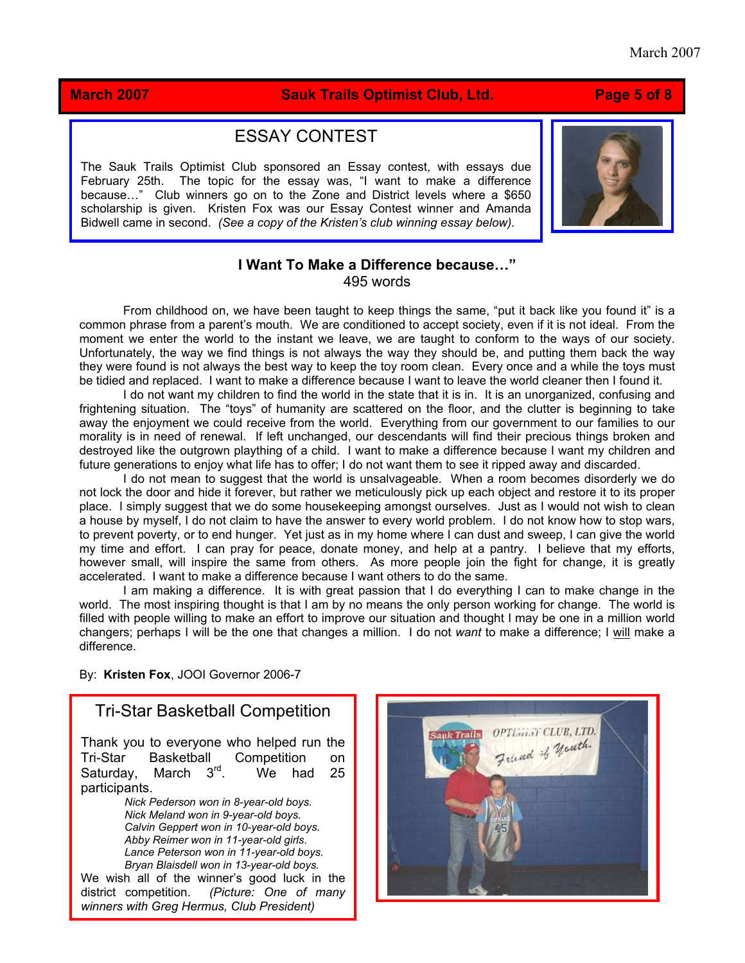### **March 2007 Sauk Trails Optimist Club, Ltd. Page 5 of 8**

# ESSAY CONTEST

The Sauk Trails Optimist Club sponsored an Essay contest, with essays due February 25th. The topic for the essay was, "I want to make a difference because…" Club winners go on to the Zone and District levels where a \$650 scholarship is given. Kristen Fox was our Essay Contest winner and Amanda Bidwell came in second. *(See a copy of the Kristen's club winning essay below).*



### **I Want To Make a Difference because…"**  495 words

From childhood on, we have been taught to keep things the same, "put it back like you found it" is a common phrase from a parent's mouth. We are conditioned to accept society, even if it is not ideal. From the moment we enter the world to the instant we leave, we are taught to conform to the ways of our society. Unfortunately, the way we find things is not always the way they should be, and putting them back the way they were found is not always the best way to keep the toy room clean. Every once and a while the toys must be tidied and replaced. I want to make a difference because I want to leave the world cleaner then I found it.

I do not want my children to find the world in the state that it is in. It is an unorganized, confusing and frightening situation. The "toys" of humanity are scattered on the floor, and the clutter is beginning to take away the enjoyment we could receive from the world. Everything from our government to our families to our morality is in need of renewal. If left unchanged, our descendants will find their precious things broken and destroyed like the outgrown plaything of a child. I want to make a difference because I want my children and future generations to enjoy what life has to offer; I do not want them to see it ripped away and discarded.

I do not mean to suggest that the world is unsalvageable. When a room becomes disorderly we do not lock the door and hide it forever, but rather we meticulously pick up each object and restore it to its proper place. I simply suggest that we do some housekeeping amongst ourselves. Just as I would not wish to clean a house by myself, I do not claim to have the answer to every world problem. I do not know how to stop wars, to prevent poverty, or to end hunger. Yet just as in my home where I can dust and sweep, I can give the world my time and effort. I can pray for peace, donate money, and help at a pantry. I believe that my efforts, however small, will inspire the same from others. As more people join the fight for change, it is greatly accelerated. I want to make a difference because I want others to do the same.

I am making a difference. It is with great passion that I do everything I can to make change in the world. The most inspiring thought is that I am by no means the only person working for change. The world is filled with people willing to make an effort to improve our situation and thought I may be one in a million world changers; perhaps I will be the one that changes a million. I do not *want* to make a difference; I will make a difference.

By: **Kristen Fox**, JOOI Governor 2006-7

## Tri-Star Basketball Competition

Thank you to everyone who helped run the Tri-Star Basketball Competition on Saturday, March  $3<sup>rd</sup>$ . We had 25 particip ants.

> *. Calvin Geppert won in 10-year-old boys Nick Pederson won in 8-year-old boys. Nick Meland won in 9-year-old boys. Abby Reimer won in 11-year-old girls. Lance Peterson won in 11-year-old boys. Bryan Blaisdell won in 13-year-old boys.*

district competition. (Picture: One of many We wish all of the winner's good luck in the *winners with Greg Hermus, Club President)* 

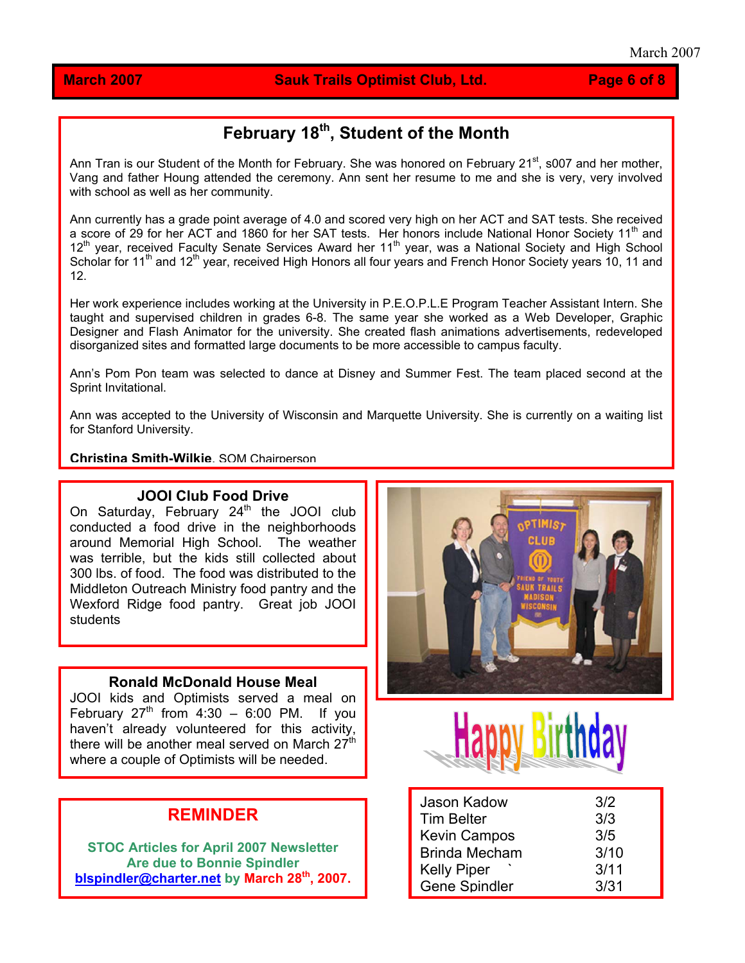### **March 2007 Sauk Trails Optimist Club, Ltd. Page 6 of 8**

# **February 18th, Student of the Month**

Ann Tran is our Student of the Month for February. She was honored on February 21<sup>st</sup>, s007 and her mother, Vang and father Houng attended the ceremony. Ann sent her resume to me and she is very, very involved with school as well as her community.

Ann currently has a grade point average of 4.0 and scored very high on her ACT and SAT tests. She received a score of 29 for her ACT and 1860 for her SAT tests. Her honors include National Honor Society 11<sup>th</sup> and 12<sup>th</sup> year, received Faculty Senate Services Award her 11<sup>th</sup> year, was a National Society and High School Scholar for 11<sup>th</sup> and 12<sup>th</sup> year, received High Honors all four years and French Honor Society years 10, 11 and 12.

Her work experience includes working at the University in P.E.O.P.L.E Program Teacher Assistant Intern. She taught and supervised children in grades 6-8. The same year she worked as a Web Developer, Graphic Designer and Flash Animator for the university. She created flash animations advertisements, redeveloped disorganized sites and formatted large documents to be more accessible to campus faculty.

Ann's Pom Pon team was selected to dance at Disney and Summer Fest. The team placed second at the Sprint Invitational.

Ann was accepted to the University of Wisconsin and Marquette University. She is currently on a waiting list for Stanford University.

**Christina Smith-Wilkie**, SOM Chairperson

### **JOOI Club Food Drive**

On Saturday, February  $24<sup>th</sup>$  the JOOI club conducted a food drive in the neighborhoods around Memorial High School. The weather was terrible, but the kids still collected about 300 lbs. of food. The food was distributed to the Middleton Outreach Ministry food pantry and the Wexford Ridge food pantry. Great job JOOI students

### **Ronald McDonald House Meal**

JOOI kids and Optimists served a meal on February  $27<sup>th</sup>$  from 4:30 – 6:00 PM. If you haven't already volunteered for this activity, there will be another meal served on March  $27<sup>th</sup>$ where a couple of Optimists will be needed.

# **REMINDER**

**STOC Articles for April 2007 Newsletter Are due to Bonnie Spindler [blspindler@charter.net](mailto:blspindler@charter.net) by March 28th, 2007.**





| Jason Kadow          | 3/2  |
|----------------------|------|
| <b>Tim Belter</b>    | 3/3  |
| <b>Kevin Campos</b>  | 3/5  |
| <b>Brinda Mecham</b> | 3/10 |
| <b>Kelly Piper</b>   | 3/11 |
| <b>Gene Spindler</b> | 3/31 |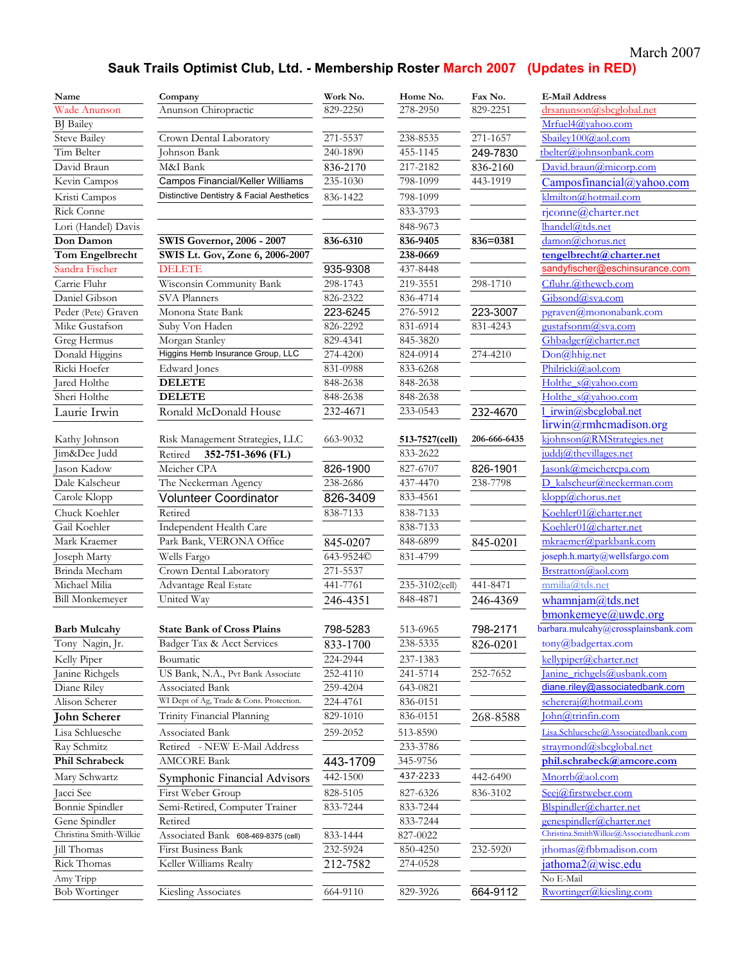### March 2007

# **Sauk Trails Optimist Club, Ltd. - Membership Roster March 2007 (Updates in RED)**

| Name                   | Company                                   | Work No.  | Home No.       | Fax No.      | <b>E-Mail Address</b>                    |
|------------------------|-------------------------------------------|-----------|----------------|--------------|------------------------------------------|
| Wade Anunson           | Anunson Chiropractic                      | 829-2250  | 278-2950       | 829-2251     | drsanunson@sbcglobal.net                 |
| <b>BJ</b> Bailey       |                                           |           |                |              | Mrfuel4@vahoo.com                        |
| <b>Steve Bailey</b>    | Crown Dental Laboratory                   | 271-5537  | 238-8535       | 271-1657     | Sbailey100@aol.com                       |
| Tim Belter             | Johnson Bank                              | 240-1890  | 455-1145       | 249-7830     | tbelter@johnsonbank.com                  |
| David Braun            | M&I Bank                                  | 836-2170  | 217-2182       | 836-2160     | David.braun@micorp.com                   |
| Kevin Campos           | Campos Financial/Keller Williams          | 235-1030  | 798-1099       | 443-1919     | $Campos financial (a)$ yahoo.com         |
| Kristi Campos          | Distinctive Dentistry & Facial Aesthetics | 836-1422  | 798-1099       |              | klmilton@hotmail.com                     |
| <b>Rick Conne</b>      |                                           |           | 833-3793       |              | rjconne@charter.net                      |
| Lori (Handel) Davis    |                                           |           | 848-9673       |              | lhandel@tds.net                          |
| Don Damon              | <b>SWIS Governor, 2006 - 2007</b>         | 836-6310  | 836-9405       | 836=0381     | damon@chorus.net                         |
| Tom Engelbrecht        | SWIS Lt. Gov, Zone 6, 2006-2007           |           | 238-0669       |              | tengelbrecht@charter.net                 |
| Sandra Fischer         | <b>DELETE</b>                             | 935-9308  | 437-8448       |              | sandyfischer@eschinsurance.com           |
| Carrie Fluhr           | Wisconsin Community Bank                  | 298-1743  | 219-3551       | 298-1710     | Cfluhr.@thewcb.com                       |
| Daniel Gibson          | <b>SVA Planners</b>                       | 826-2322  | 836-4714       |              | Gibsond@sva.com                          |
| Peder (Pete) Graven    | Monona State Bank                         | 223-6245  | 276-5912       | 223-3007     | pgraven@mononabank.com                   |
| Mike Gustafson         | Suby Von Haden                            | 826-2292  | 831-6914       | 831-4243     | <u>gustafsonm@sva.com</u>                |
| Greg Hermus            | Morgan Stanley                            | 829-4341  | 845-3820       |              | Ghbadger@charter.net                     |
| Donald Higgins         | Higgins Hemb Insurance Group, LLC         | 274-4200  | 824-0914       | 274-4210     | Don@hhig.net                             |
| Ricki Hoefer           | Edward Jones                              | 831-0988  | 833-6268       |              | Philricki@aol.com                        |
| Jared Holthe           | <b>DELETE</b>                             | 848-2638  | 848-2638       |              | Holthe s@yahoo.com                       |
| Sheri Holthe           | <b>DELETE</b>                             | 848-2638  | 848-2638       |              | Holthe s@vahoo.com                       |
| Laurie Irwin           | Ronald McDonald House                     | 232-4671  | 233-0543       | 232-4670     | 1 irwin@sbcglobal.net                    |
|                        |                                           |           |                |              | lirwin@rmhcmadison.org                   |
| Kathy Johnson          | Risk Management Strategies, LLC           | 663-9032  | 513-7527(cell) | 206-666-6435 | kjohnson@RMStrategies.net                |
| Jim&Dee Judd           | Retired<br>352-751-3696 (FL)              |           | 833-2622       |              | juddj@thevillages.net                    |
| Jason Kadow            | Meicher CPA                               | 826-1900  | 827-6707       | 826-1901     | asonk@meichercpa.com                     |
| Dale Kalscheur         | The Neckerman Agency                      | 238-2686  | 437-4470       | 238-7798     | D kalscheur@neckerman.com                |
| Carole Klopp           | <b>Volunteer Coordinator</b>              | 826-3409  | 833-4561       |              | klopp@chorus.net                         |
| Chuck Koehler          | Retired                                   | 838-7133  | 838-7133       |              | Koehler01@charter.net                    |
| Gail Koehler           | Independent Health Care                   |           | 838-7133       |              | Koehler01@charter.net                    |
| Mark Kraemer           | Park Bank, VERONA Office                  | 845-0207  | 848-6899       | 845-0201     | mkraemer@parkbank.com                    |
| Joseph Marty           | Wells Fargo                               | 643-9524C | 831-4799       |              | joseph.h.marty@wellsfargo.com            |
| Brinda Mecham          | Crown Dental Laboratory                   | 271-5537  |                |              | Brstratton@aol.com                       |
| Michael Milia          | Advantage Real Estate                     | 441-7761  | 235-3102(cell) | 441-8471     | mmilia@tds.net                           |
| <b>Bill Monkemeyer</b> | United Way                                | 246-4351  | 848-4871       | 246-4369     | whamnjam@tds.net                         |
|                        |                                           |           |                |              | bmonkemeye@uwdc.org                      |
| Barb Mulcahy           | <b>State Bank of Cross Plains</b>         | 798-5283  | 513-6965       | 798-2171     | barbara.mulcahy@crossplainsbank.com      |
| Tony Nagin, Jr.        | Badger Tax & Acct Services                | 833-1700  | 238-5335       | 826-0201     | $\text{tony}(\widehat{a})$ badgertax.com |
| Kelly Piper            | Boumatic                                  | 224-2944  | 237-1383       |              | kellypiper@charter.net                   |
| Janine Richgels        | US Bank, N.A., Pvt Bank Associate         | 252-4110  | 241-5714       | 252-7652     | Janine richgels@usbank.com               |
| Diane Riley            | Associated Bank                           | 259-4204  | 643-0821       |              | diane.riley@associatedbank.com           |
| Alison Scherer         | WI Dept of Ag, Trade & Cons. Protection.  | 224-4761  | 836-0151       |              | schereraj@hotmail.com                    |
| <b>John Scherer</b>    | Trinity Financial Planning                | 829-1010  | 836-0151       | 268-8588     | John@trinfin.com                         |
| Lisa Schluesche        | Associated Bank                           | 259-2052  | 513-8590       |              | Lisa.Schluesche@Associatedbank.com       |
| Ray Schmitz            | Retired - NEW E-Mail Address              |           | 233-3786       |              | straymond@sbcglobal.net                  |
| Phil Schrabeck         | <b>AMCORE Bank</b>                        | 443-1709  | 345-9756       |              | phil.schrabeck@amcore.com                |
| Mary Schwartz          | Symphonic Financial Advisors              | 442-1500  | 437-2233       | 442-6490     | Mnorrb@aol.com                           |
| Jacci See              | First Weber Group                         | 828-5105  | 827-6326       | 836-3102     | Seej@firstweber.com                      |
| Bonnie Spindler        | Semi-Retired, Computer Trainer            | 833-7244  | 833-7244       |              | Blspindler@charter.net                   |
| Gene Spindler          | Retired                                   |           | 833-7244       |              | genespindler@charter.net                 |
| Christina Smith-Wilkie | Associated Bank 608-469-8375 (cell)       | 833-1444  | 827-0022       |              | Christina.SmithWilkie@Associatedbank.com |
| Jill Thomas            | First Business Bank                       | 232-5924  | 850-4250       | 232-5920     | jthomas@fbbmadison.com                   |
| Rick Thomas            | Keller Williams Realty                    | 212-7582  | 274-0528       |              | <u>jathoma2@wisc.edu</u>                 |
| Amy Tripp              |                                           |           |                |              | No E-Mail                                |
| <b>Bob Wortinger</b>   | Kiesling Associates                       | 664-9110  | 829-3926       | 664-9112     | Rwortinger@kiesling.com                  |